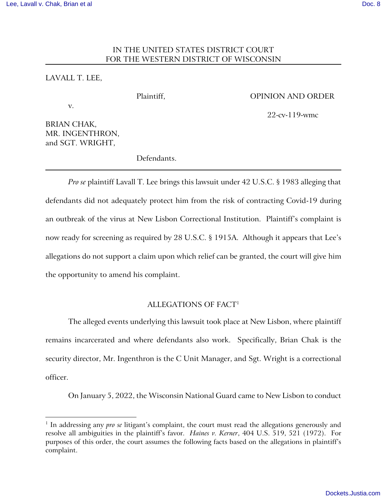# IN THE UNITED STATES DISTRICT COURT FOR THE WESTERN DISTRICT OF WISCONSIN

## LAVALL T. LEE,

#### Plaintiff, OPINION AND ORDER

22-cv-119-wmc

v.

BRIAN CHAK, MR. INGENTHRON, and SGT. WRIGHT,

Defendants.

*Pro se* plaintiff Lavall T. Lee brings this lawsuit under 42 U.S.C. § 1983 alleging that defendants did not adequately protect him from the risk of contracting Covid-19 during an outbreak of the virus at New Lisbon Correctional Institution. Plaintiff's complaint is now ready for screening as required by 28 U.S.C. § 1915A. Although it appears that Lee's allegations do not support a claim upon which relief can be granted, the court will give him the opportunity to amend his complaint.

## ALLEGATIONS OF FACT<sup>1</sup>

The alleged events underlying this lawsuit took place at New Lisbon, where plaintiff remains incarcerated and where defendants also work. Specifically, Brian Chak is the security director, Mr. Ingenthron is the C Unit Manager, and Sgt. Wright is a correctional officer.

On January 5, 2022, the Wisconsin National Guard came to New Lisbon to conduct

<sup>&</sup>lt;sup>1</sup> In addressing any *pro se* litigant's complaint, the court must read the allegations generously and resolve all ambiguities in the plaintiff's favor. *Haines v. Kerner*, 404 U.S. 519, 521 (1972). For purposes of this order, the court assumes the following facts based on the allegations in plaintiff's complaint.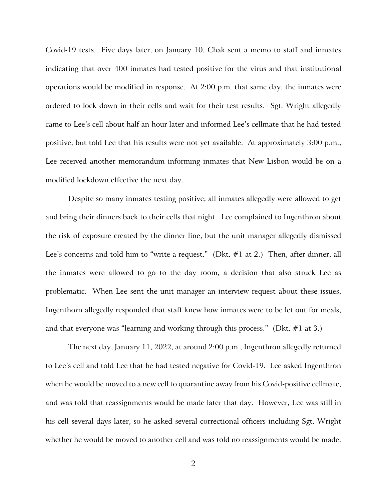Covid-19 tests. Five days later, on January 10, Chak sent a memo to staff and inmates indicating that over 400 inmates had tested positive for the virus and that institutional operations would be modified in response. At 2:00 p.m. that same day, the inmates were ordered to lock down in their cells and wait for their test results. Sgt. Wright allegedly came to Lee's cell about half an hour later and informed Lee's cellmate that he had tested positive, but told Lee that his results were not yet available. At approximately 3:00 p.m., Lee received another memorandum informing inmates that New Lisbon would be on a modified lockdown effective the next day.

Despite so many inmates testing positive, all inmates allegedly were allowed to get and bring their dinners back to their cells that night. Lee complained to Ingenthron about the risk of exposure created by the dinner line, but the unit manager allegedly dismissed Lee's concerns and told him to "write a request." (Dkt. #1 at 2.) Then, after dinner, all the inmates were allowed to go to the day room, a decision that also struck Lee as problematic. When Lee sent the unit manager an interview request about these issues, Ingenthorn allegedly responded that staff knew how inmates were to be let out for meals, and that everyone was "learning and working through this process." (Dkt. #1 at 3.)

The next day, January 11, 2022, at around 2:00 p.m., Ingenthron allegedly returned to Lee's cell and told Lee that he had tested negative for Covid-19. Lee asked Ingenthron when he would be moved to a new cell to quarantine away from his Covid-positive cellmate, and was told that reassignments would be made later that day. However, Lee was still in his cell several days later, so he asked several correctional officers including Sgt. Wright whether he would be moved to another cell and was told no reassignments would be made.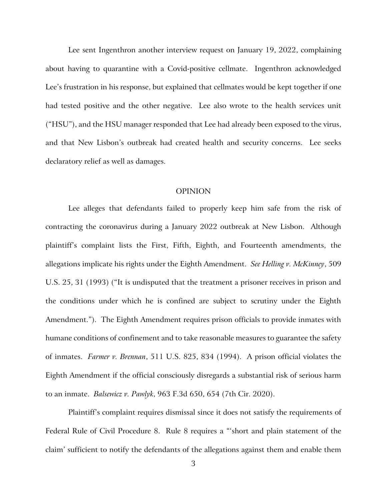Lee sent Ingenthron another interview request on January 19, 2022, complaining about having to quarantine with a Covid-positive cellmate. Ingenthron acknowledged Lee's frustration in his response, but explained that cellmates would be kept together if one had tested positive and the other negative. Lee also wrote to the health services unit ("HSU"), and the HSU manager responded that Lee had already been exposed to the virus, and that New Lisbon's outbreak had created health and security concerns. Lee seeks declaratory relief as well as damages.

#### OPINION

Lee alleges that defendants failed to properly keep him safe from the risk of contracting the coronavirus during a January 2022 outbreak at New Lisbon. Although plaintiff's complaint lists the First, Fifth, Eighth, and Fourteenth amendments, the allegations implicate his rights under the Eighth Amendment. *See Helling v. McKinney*, 509 U.S. 25, 31 (1993) ("It is undisputed that the treatment a prisoner receives in prison and the conditions under which he is confined are subject to scrutiny under the Eighth Amendment."). The Eighth Amendment requires prison officials to provide inmates with humane conditions of confinement and to take reasonable measures to guarantee the safety of inmates. *Farmer v. Brennan*, 511 U.S. 825, 834 (1994). A prison official violates the Eighth Amendment if the official consciously disregards a substantial risk of serious harm to an inmate. *Balsewicz v. Pawlyk*, 963 F.3d 650, 654 (7th Cir. 2020).

Plaintiff's complaint requires dismissal since it does not satisfy the requirements of Federal Rule of Civil Procedure 8. Rule 8 requires a "'short and plain statement of the claim' sufficient to notify the defendants of the allegations against them and enable them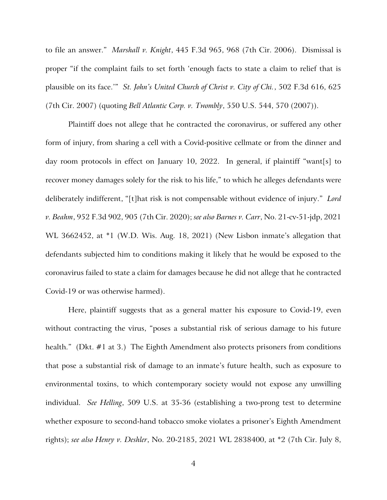to file an answer." *Marshall v. Knight*, 445 F.3d 965, 968 (7th Cir. 2006). Dismissal is proper "if the complaint fails to set forth 'enough facts to state a claim to relief that is plausible on its face.'" *St. John's United Church of Christ v. City of Chi.*, 502 F.3d 616, 625 (7th Cir. 2007) (quoting *Bell Atlantic Corp. v. Twombly*, 550 U.S. 544, 570 (2007)).

Plaintiff does not allege that he contracted the coronavirus, or suffered any other form of injury, from sharing a cell with a Covid-positive cellmate or from the dinner and day room protocols in effect on January 10, 2022. In general, if plaintiff "want[s] to recover money damages solely for the risk to his life," to which he alleges defendants were deliberately indifferent, "[t]hat risk is not compensable without evidence of injury." *Lord v. Beahm*, 952 F.3d 902, 905 (7th Cir. 2020); *see also Barnes v. Carr*, No. 21-cv-51-jdp, 2021 WL 3662452, at \*1 (W.D. Wis. Aug. 18, 2021) (New Lisbon inmate's allegation that defendants subjected him to conditions making it likely that he would be exposed to the coronavirus failed to state a claim for damages because he did not allege that he contracted Covid-19 or was otherwise harmed).

Here, plaintiff suggests that as a general matter his exposure to Covid-19, even without contracting the virus, "poses a substantial risk of serious damage to his future health." (Dkt. #1 at 3.) The Eighth Amendment also protects prisoners from conditions that pose a substantial risk of damage to an inmate's future health, such as exposure to environmental toxins, to which contemporary society would not expose any unwilling individual. *See Helling*, 509 U.S. at 35-36 (establishing a two-prong test to determine whether exposure to second-hand tobacco smoke violates a prisoner's Eighth Amendment rights); *see also Henry v. Deshler*, No. 20-2185, 2021 WL 2838400, at \*2 (7th Cir. July 8,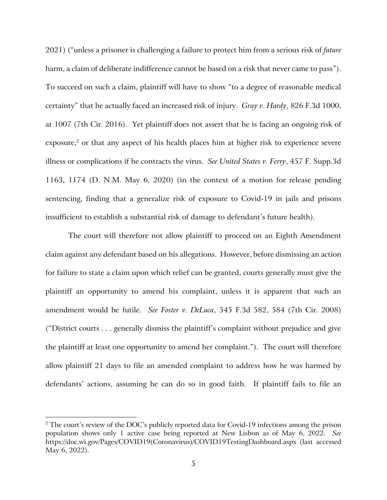2021) ("unless a prisoner is challenging a failure to protect him from a serious risk of *future* harm, a claim of deliberate indifference cannot be based on a risk that never came to pass"). To succeed on such a claim, plaintiff will have to show "to a degree of reasonable medical certainty" that he actually faced an increased risk of injury. *Gray v. Hardy*, 826 F.3d 1000, at 1007 (7th Cir. 2016). Yet plaintiff does not assert that he is facing an ongoing risk of exposure, $^2$  or that any aspect of his health places him at higher risk to experience severe illness or complications if he contracts the virus. *See United States v. Ferry*, 457 F. Supp.3d 1163, 1174 (D. N.M. May 6, 2020) (in the context of a motion for release pending sentencing, finding that a generalize risk of exposure to Covid-19 in jails and prisons insufficient to establish a substantial risk of damage to defendant's future health).

The court will therefore not allow plaintiff to proceed on an Eighth Amendment claim against any defendant based on his allegations. However, before dismissing an action for failure to state a claim upon which relief can be granted, courts generally must give the plaintiff an opportunity to amend his complaint, unless it is apparent that such an amendment would be futile. *See Foster v. DeLuca*, 545 F.3d 582, 584 (7th Cir. 2008) ("District courts . . . generally dismiss the plaintiff's complaint without prejudice and give the plaintiff at least one opportunity to amend her complaint."). The court will therefore allow plaintiff 21 days to file an amended complaint to address how he was harmed by defendants' actions, assuming he can do so in good faith. If plaintiff fails to file an

<sup>&</sup>lt;sup>2</sup> The court's review of the DOC's publicly reported data for Covid-19 infections among the prison population shows only 1 active case being reported at New Lisbon as of May 6, 2022. *See*  https://doc.wi.gov/Pages/COVID19(Coronavirus)/COVID19TestingDashboard.aspx (last accessed May 6, 2022).